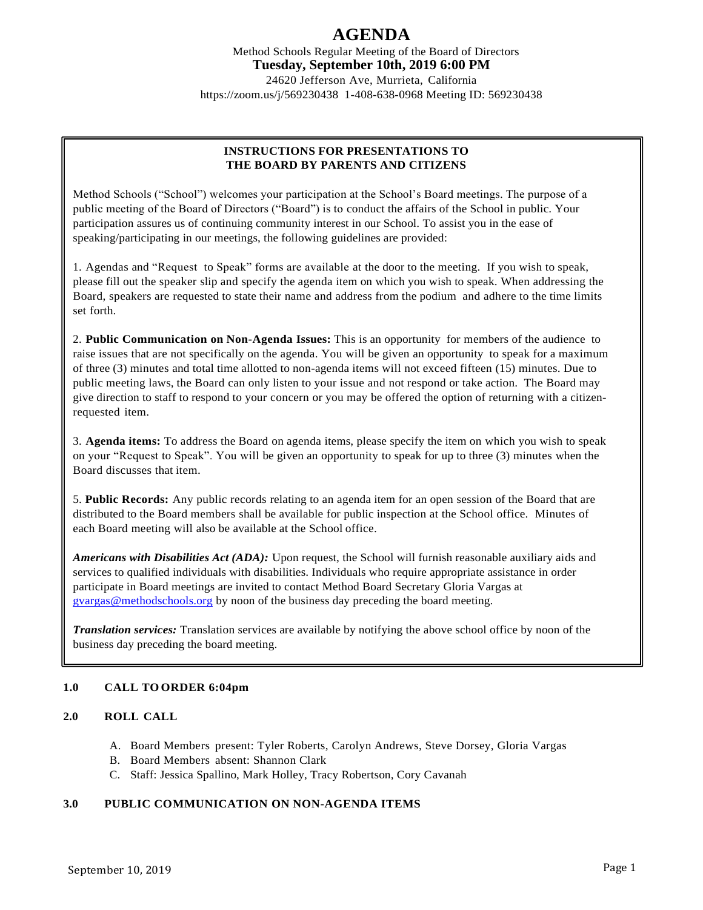Method Schools Regular Meeting of the Board of Directors **Tuesday, September 10th, 2019 6:00 PM** 24620 Jefferson Ave, Murrieta, California

https://zoom.us/j/569230438 1-408-638-0968 Meeting ID: 569230438

## **INSTRUCTIONS FOR PRESENTATIONS TO THE BOARD BY PARENTS AND CITIZENS**

Method Schools ("School") welcomes your participation at the School's Board meetings. The purpose of a public meeting of the Board of Directors ("Board") is to conduct the affairs of the School in public. Your participation assures us of continuing community interest in our School. To assist you in the ease of speaking/participating in our meetings, the following guidelines are provided:

1. Agendas and "Request to Speak" forms are available at the door to the meeting. If you wish to speak, please fill out the speaker slip and specify the agenda item on which you wish to speak. When addressing the Board, speakers are requested to state their name and address from the podium and adhere to the time limits set forth.

2. **Public Communication on Non-Agenda Issues:** This is an opportunity for members of the audience to raise issues that are not specifically on the agenda. You will be given an opportunity to speak for a maximum of three (3) minutes and total time allotted to non-agenda items will not exceed fifteen (15) minutes. Due to public meeting laws, the Board can only listen to your issue and not respond or take action. The Board may give direction to staff to respond to your concern or you may be offered the option of returning with a citizenrequested item.

3. **Agenda items:** To address the Board on agenda items, please specify the item on which you wish to speak on your "Request to Speak". You will be given an opportunity to speak for up to three (3) minutes when the Board discusses that item.

5. **Public Records:** Any public records relating to an agenda item for an open session of the Board that are distributed to the Board members shall be available for public inspection at the School office. Minutes of each Board meeting will also be available at the School office.

*Americans with Disabilities Act (ADA):* Upon request, the School will furnish reasonable auxiliary aids and services to qualified individuals with disabilities. Individuals who require appropriate assistance in order participate in Board meetings are invited to contact Method Board Secretary Gloria Vargas at [gvargas@methodschools.org](mailto:gvargas@methodschools.org) by noon of the business day preceding the board meeting.

*Translation services:* Translation services are available by notifying the above school office by noon of the business day preceding the board meeting.

# **1.0 CALL TO ORDER 6:04pm**

### **2.0 ROLL CALL**

- A. Board Members present: Tyler Roberts, Carolyn Andrews, Steve Dorsey, Gloria Vargas
- B. Board Members absent: Shannon Clark
- C. Staff: Jessica Spallino, Mark Holley, Tracy Robertson, Cory Cavanah

### **3.0 PUBLIC COMMUNICATION ON NON-AGENDA ITEMS**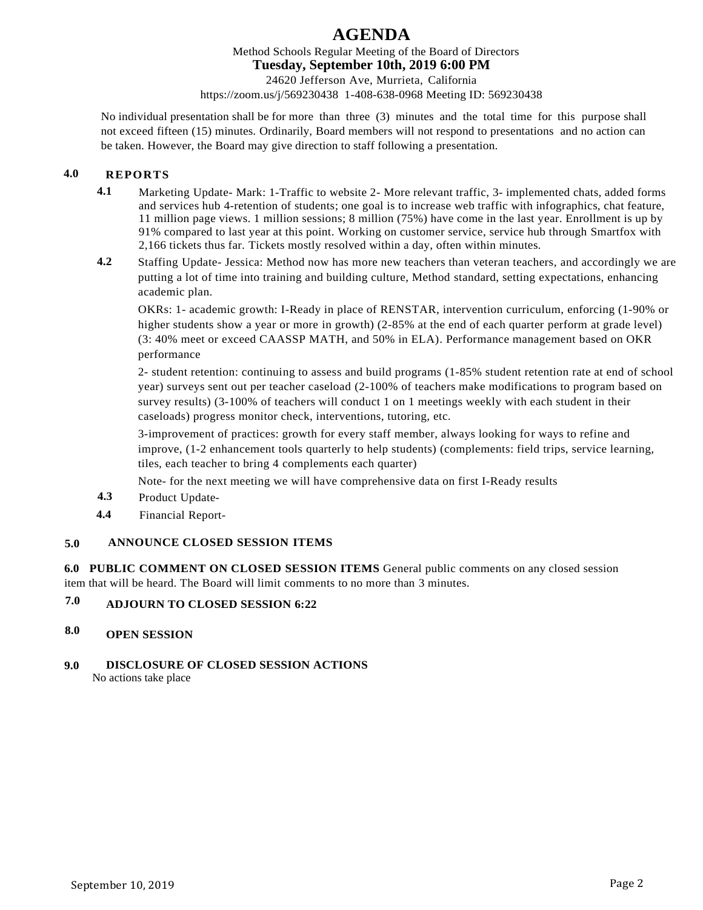Method Schools Regular Meeting of the Board of Directors

## **Tuesday, September 10th, 2019 6:00 PM**

24620 Jefferson Ave, Murrieta, California

https://zoom.us/j/569230438 1-408-638-0968 Meeting ID: 569230438

No individual presentation shall be for more than three (3) minutes and the total time for this purpose shall not exceed fifteen (15) minutes. Ordinarily, Board members will not respond to presentations and no action can be taken. However, the Board may give direction to staff following a presentation.

# **4.0 REPORTS**

- **4.1** Marketing Update- Mark: 1-Traffic to website 2- More relevant traffic, 3- implemented chats, added forms and services hub 4-retention of students; one goal is to increase web traffic with infographics, chat feature, 11 million page views. 1 million sessions; 8 million (75%) have come in the last year. Enrollment is up by 91% compared to last year at this point. Working on customer service, service hub through Smartfox with 2,166 tickets thus far. Tickets mostly resolved within a day, often within minutes.
- **4.2** Staffing Update- Jessica: Method now has more new teachers than veteran teachers, and accordingly we are putting a lot of time into training and building culture, Method standard, setting expectations, enhancing academic plan.

OKRs: 1- academic growth: I-Ready in place of RENSTAR, intervention curriculum, enforcing (1-90% or higher students show a year or more in growth) (2-85% at the end of each quarter perform at grade level) (3: 40% meet or exceed CAASSP MATH, and 50% in ELA). Performance management based on OKR performance

2- student retention: continuing to assess and build programs (1-85% student retention rate at end of school year) surveys sent out per teacher caseload (2-100% of teachers make modifications to program based on survey results) (3-100% of teachers will conduct 1 on 1 meetings weekly with each student in their caseloads) progress monitor check, interventions, tutoring, etc.

3-improvement of practices: growth for every staff member, always looking for ways to refine and improve, (1-2 enhancement tools quarterly to help students) (complements: field trips, service learning, tiles, each teacher to bring 4 complements each quarter)

Note- for the next meeting we will have comprehensive data on first I-Ready results

- **4.3** Product Update-
- **4.4** Financial Report-

# **5.0 ANNOUNCE CLOSED SESSION ITEMS**

**6.0 PUBLIC COMMENT ON CLOSED SESSION ITEMS** General public comments on any closed session item that will be heard. The Board will limit comments to no more than 3 minutes.

#### **7.0 ADJOURN TO CLOSED SESSION 6:22**

#### **8.0 OPEN SESSION**

### **9.0 DISCLOSURE OF CLOSED SESSION ACTIONS**

No actions take place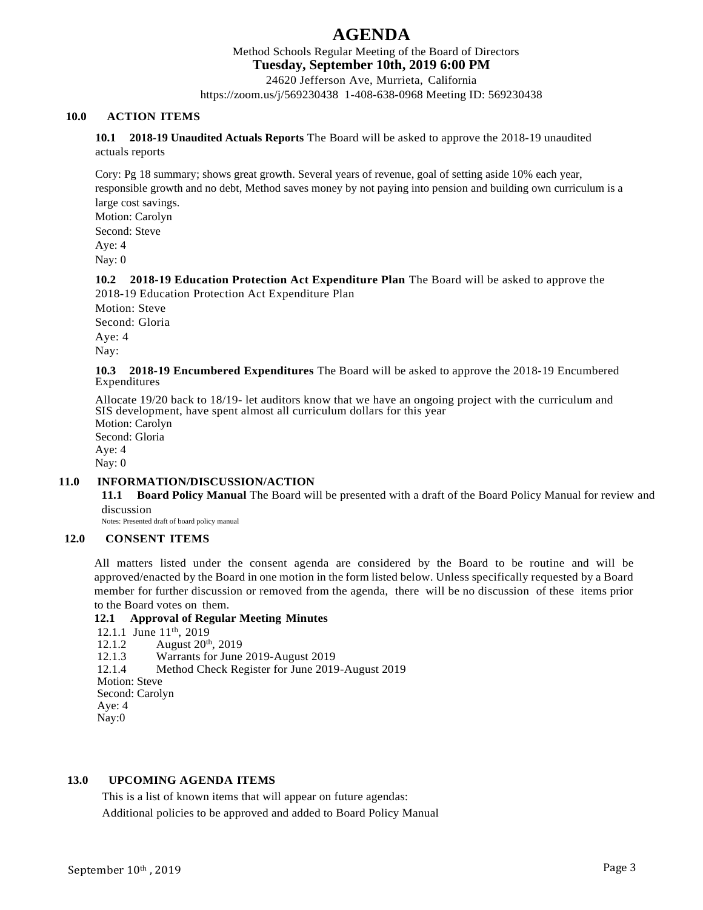Method Schools Regular Meeting of the Board of Directors

**Tuesday, September 10th, 2019 6:00 PM**

24620 Jefferson Ave, Murrieta, California

https://zoom.us/j/569230438 1-408-638-0968 Meeting ID: 569230438

## **10.0 ACTION ITEMS**

**10.1 2018-19 Unaudited Actuals Reports** The Board will be asked to approve the 2018-19 unaudited actuals reports

Cory: Pg 18 summary; shows great growth. Several years of revenue, goal of setting aside 10% each year, responsible growth and no debt, Method saves money by not paying into pension and building own curriculum is a large cost savings.

Motion: Carolyn Second: Steve Aye: 4 Nay: 0

**10.2 2018-19 Education Protection Act Expenditure Plan** The Board will be asked to approve the 2018-19 Education Protection Act Expenditure Plan

Motion: Steve Second: Gloria Aye: 4 Nay:

**10.3 2018-19 Encumbered Expenditures** The Board will be asked to approve the 2018-19 Encumbered Expenditures

Allocate 19/20 back to 18/19- let auditors know that we have an ongoing project with the curriculum and SIS development, have spent almost all curriculum dollars for this year

Motion: Carolyn Second: Gloria Aye: 4 Nay: 0

### **11.0 INFORMATION/DISCUSSION/ACTION**

**11.1 Board Policy Manual** The Board will be presented with a draft of the Board Policy Manual for review and discussion

Notes: Presented draft of board policy manual

### **12.0 CONSENT ITEMS**

All matters listed under the consent agenda are considered by the Board to be routine and will be approved/enacted by the Board in one motion in the form listed below. Unless specifically requested by a Board member for further discussion or removed from the agenda, there will be no discussion of these items prior to the Board votes on them.

### **12.1 Approval of Regular Meeting Minutes**

12.1.1 June 11<sup>th</sup>, 2019 12.1.2 August 20<sup>th</sup>, 2019 12.1.3 Warrants for June 2019-August 2019 12.1.4 Method Check Register for June 2019-August 2019 Motion: Steve Second: Carolyn Aye: 4 Nay:0

### **13.0 UPCOMING AGENDA ITEMS**

This is a list of known items that will appear on future agendas:

Additional policies to be approved and added to Board Policy Manual